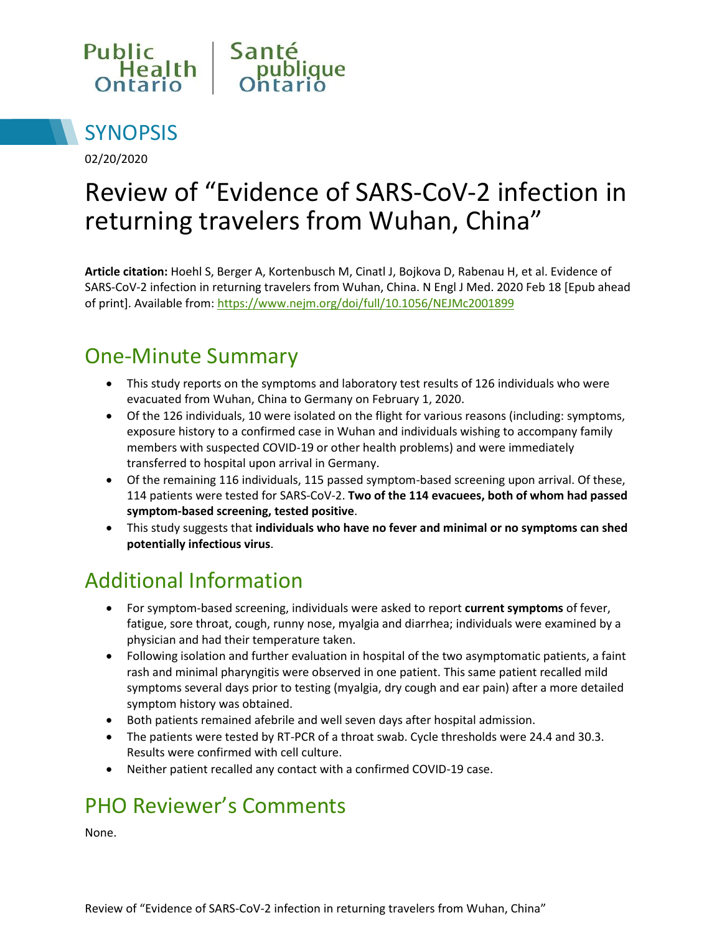



02/20/2020

# Review of "Evidence of SARS-CoV-2 infection in returning travelers from Wuhan, China"

**Article citation:** Hoehl S, Berger A, Kortenbusch M, Cinatl J, Bojkova D, Rabenau H, et al. Evidence of SARS-CoV-2 infection in returning travelers from Wuhan, China. N Engl J Med. 2020 Feb 18 [Epub ahead of print]. Available from: <https://www.nejm.org/doi/full/10.1056/NEJMc2001899>

#### One-Minute Summary

- This study reports on the symptoms and laboratory test results of 126 individuals who were evacuated from Wuhan, China to Germany on February 1, 2020.
- Of the 126 individuals, 10 were isolated on the flight for various reasons (including: symptoms, exposure history to a confirmed case in Wuhan and individuals wishing to accompany family members with suspected COVID-19 or other health problems) and were immediately transferred to hospital upon arrival in Germany.
- Of the remaining 116 individuals, 115 passed symptom-based screening upon arrival. Of these, 114 patients were tested for SARS-CoV-2. **Two of the 114 evacuees, both of whom had passed symptom-based screening, tested positive**.
- This study suggests that **individuals who have no fever and minimal or no symptoms can shed potentially infectious virus**.

## Additional Information

- For symptom-based screening, individuals were asked to report **current symptoms** of fever, fatigue, sore throat, cough, runny nose, myalgia and diarrhea; individuals were examined by a physician and had their temperature taken.
- Following isolation and further evaluation in hospital of the two asymptomatic patients, a faint rash and minimal pharyngitis were observed in one patient. This same patient recalled mild symptoms several days prior to testing (myalgia, dry cough and ear pain) after a more detailed symptom history was obtained.
- Both patients remained afebrile and well seven days after hospital admission.
- The patients were tested by RT-PCR of a throat swab. Cycle thresholds were 24.4 and 30.3. Results were confirmed with cell culture.
- Neither patient recalled any contact with a confirmed COVID-19 case.

## PHO Reviewer's Comments

None.